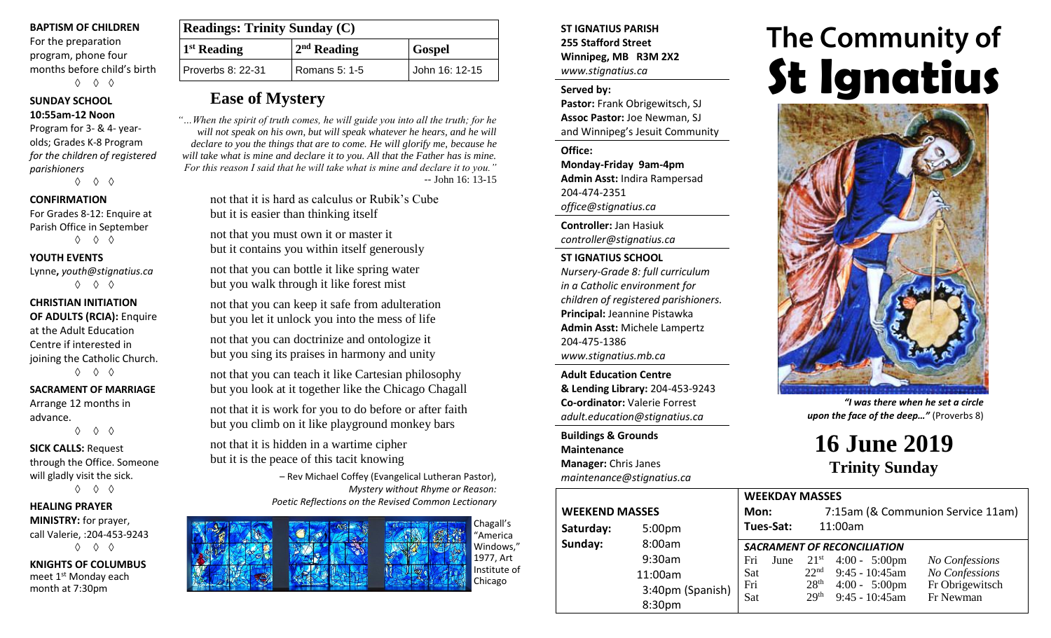### **BAPTISM OF CHILDREN**

For the preparation program, phone four months before child's birth ◊ ◊ ◊

## **SUNDAY SCHOOL**

**10:55am-12 Noon** Program for 3- & 4- yearolds; Grades K-8 Program *for the children of registered parishioners*

◊ ◊ ◊

## **CONFIRMATION**

For Grades 8-12: Enquire at Parish Office in September ◊ ◊ ◊

### **YOUTH EVENTS**

Lynne**,** *youth@stignatius.ca* ◊ ◊ ◊

## **CHRISTIAN INITIATION OF ADULTS (RCIA):** Enquire at the Adult Education Centre if interested in joining the Catholic Church.

◊ ◊ ◊

#### **SACRAMENT OF MARRIAGE**

Arrange 12 months in advance.

◊ ◊ ◊

**SICK CALLS:** Request through the Office. Someone will gladly visit the sick. ◊ ◊ ◊

## **HEALING PRAYER MINISTRY:** for prayer, call Valerie, :204-453-9243 ◊ ◊ ◊

**KNIGHTS OF COLUMBUS** meet 1<sup>st</sup> Monday each month at 7:30pm

| <b>Readings: Trinity Sunday (C)</b> |               |                |  |  |
|-------------------------------------|---------------|----------------|--|--|
| 1 <sup>st</sup> Reading             | $2nd$ Reading | <b>Gospel</b>  |  |  |
| Proverbs 8: 22-31                   | Romans 5: 1-5 | John 16: 12-15 |  |  |

## **Ease of Mystery**

*"…When the spirit of truth comes, he will guide you into all the truth; for he will not speak on his own, but will speak whatever he hears, and he will declare to you the things that are to come. He will glorify me, because he will take what is mine and declare it to you. All that the Father has is mine. For this reason I said that he will take what is mine and declare it to you."* -- John 16: 13-15

> not that it is hard as calculus or Rubik's Cube but it is easier than thinking itself

not that you must own it or master it but it contains you within itself generously

not that you can bottle it like spring water but you walk through it like forest mist

not that you can keep it safe from adulteration but you let it unlock you into the mess of life

not that you can doctrinize and ontologize it but you sing its praises in harmony and unity

not that you can teach it like Cartesian philosophy but you look at it together like the Chicago Chagall

not that it is work for you to do before or after faith but you climb on it like playground monkey bars

not that it is hidden in a wartime cipher but it is the peace of this tacit knowing

> – Rev Michael Coffey (Evangelical Lutheran Pastor), *Mystery without Rhyme or Reason: Poetic Reflections on the Revised Common Lectionary*



**ST IGNATIUS PARISH 255 Stafford Street Winnipeg, MB R3M 2X2** *www.stignatius.ca*

#### **Served by:**

**Pastor:** Frank Obrigewitsch, SJ **Assoc Pastor:** Joe Newman, SJ and Winnipeg's Jesuit Community

**Office:**

**Monday-Friday 9am-4pm Admin Asst:** Indira Rampersad 204-474-2351 *office@stignatius.ca*

**Controller:** Jan Hasiuk *controller@stignatius.ca*

## **ST IGNATIUS SCHOOL**

*Nursery-Grade 8: full curriculum in a Catholic environment for children of registered parishioners.* **Principal:** Jeannine Pistawka **Admin Asst:** Michele Lampertz 204-475-1386 *www.stignatius.mb.ca*

**Adult Education Centre & Lending Library:** 204-453-9243 **Co-ordinator:** Valerie Forrest *adult.education@stignatius.ca*

**Buildings & Grounds Maintenance Manager:** Chris Janes *maintenance@stignatius.ca*

| <b>WEEKEND MASSES</b> | <b>VVLLIVL</b><br>Mon: |               |       |
|-----------------------|------------------------|---------------|-------|
| Saturday:             | 5:00pm                 | Tues-S        |       |
| Sunday:               | 8:00am                 | <b>SACRAI</b> |       |
|                       | 9:30am                 | Fri           | $J_1$ |
|                       | 11:00am                | Sat           |       |
|                       | 3:40pm (Spanish)       | Fri<br>Sat    |       |
|                       | 8:30pm                 |               |       |

# The Community of **St Ignatius**



*"I was there when he set a circle upon the face of the deep…"* (Proverbs 8)

**16 June 2019 Trinity Sunday**

|    | <b>WEEKDAY MASSES</b>              |      |                                   |                         |                 |  |  |  |
|----|------------------------------------|------|-----------------------------------|-------------------------|-----------------|--|--|--|
|    | Mon:                               |      | 7:15am (& Communion Service 11am) |                         |                 |  |  |  |
|    | Tues-Sat:                          |      |                                   | 11:00am                 |                 |  |  |  |
|    | <b>SACRAMENT OF RECONCILIATION</b> |      |                                   |                         |                 |  |  |  |
|    | Fri                                | June |                                   | $21^{st}$ 4:00 - 5:00pm | No Confessions  |  |  |  |
|    | Sat                                |      | 22 <sup>nd</sup>                  | $9:45 - 10:45$ am       | No Confessions  |  |  |  |
| n) | Fri                                |      | 28 <sup>th</sup>                  | $4:00 - 5:00 \text{pm}$ | Fr Obrigewitsch |  |  |  |
|    | Sat                                |      | 29 <sup>th</sup>                  | $9:45 - 10:45$ am       | Fr Newman       |  |  |  |